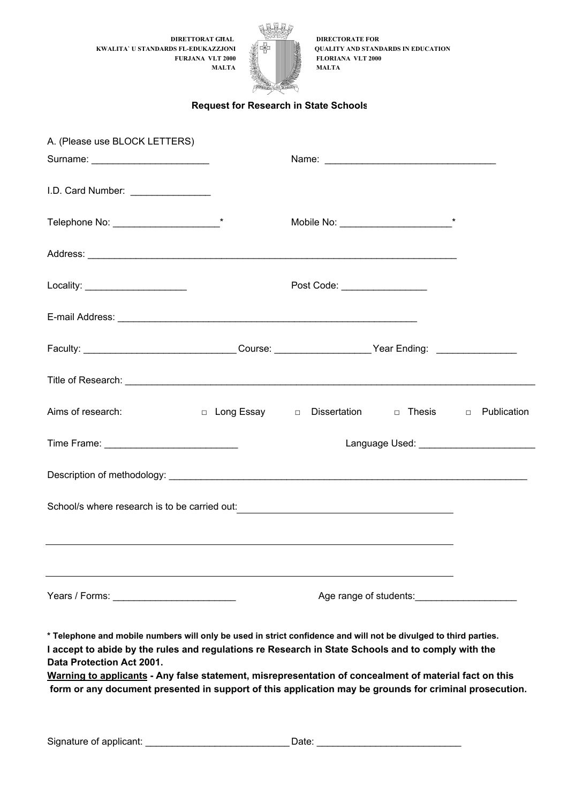**KWALITA` U STANDARDS FL-EDUKAZZJONI QUALITY AND STANDARDS IN EDUCATION MALTA** 



## **Request for Research in State Schools**

| A. (Please use BLOCK LETTERS)       |                                                                                                                                                                                                                                      |
|-------------------------------------|--------------------------------------------------------------------------------------------------------------------------------------------------------------------------------------------------------------------------------------|
| Surname: ________________________   |                                                                                                                                                                                                                                      |
| I.D. Card Number: _________________ |                                                                                                                                                                                                                                      |
|                                     |                                                                                                                                                                                                                                      |
|                                     |                                                                                                                                                                                                                                      |
| Locality: ______________________    | Post Code: <u>__________________</u>                                                                                                                                                                                                 |
|                                     |                                                                                                                                                                                                                                      |
|                                     | Faculty: ___________________________________Course: _____________________Year Ending: ___________________                                                                                                                            |
|                                     | Title of Research: <b>All and Street and Street and Street and Street and Street and Street and Street and Street and Street and Street and Street and Street and Street and Street and Street and Street and Street and Street </b> |
| Aims of research:                   | □ Long Essay □ Dissertation □ Thesis □ Publication                                                                                                                                                                                   |
|                                     |                                                                                                                                                                                                                                      |
|                                     |                                                                                                                                                                                                                                      |
|                                     | School/s where research is to be carried out: __________________________________                                                                                                                                                     |
|                                     |                                                                                                                                                                                                                                      |
|                                     |                                                                                                                                                                                                                                      |
|                                     | Age range of students:                                                                                                                                                                                                               |

**\* Telephone and mobile numbers will only be used in strict confidence and will not be divulged to third parties. I accept to abide by the rules and regulations re Research in State Schools and to comply with the Data Protection Act 2001.**

**Warning to applicants - Any false statement, misrepresentation of concealment of material fact on this form or any document presented in support of this application may be grounds for criminal prosecution.**

Signature of applicant: \_\_\_\_\_\_\_\_\_\_\_\_\_\_\_\_\_\_\_\_\_\_\_\_\_\_\_\_\_\_\_\_\_\_\_Date: \_\_\_\_\_\_\_\_\_\_\_\_\_\_\_\_\_\_\_\_\_\_\_\_\_\_\_\_\_\_\_\_\_\_\_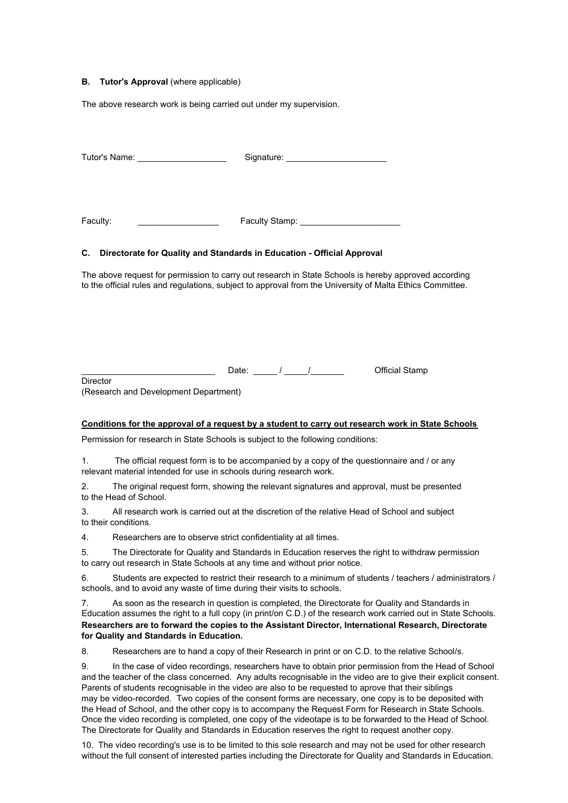#### **B. Tutor's Approval** (where applicable)

The above research work is being carried out under my supervision.

| Tutor's Name: _____________________                                              |                                         |                                                                                                                                                                                                                   |
|----------------------------------------------------------------------------------|-----------------------------------------|-------------------------------------------------------------------------------------------------------------------------------------------------------------------------------------------------------------------|
| Faculty:                                                                         | Faculty Stamp: ________________________ |                                                                                                                                                                                                                   |
| C. Directorate for Quality and Standards in Education - Official Approval        |                                         |                                                                                                                                                                                                                   |
|                                                                                  |                                         | The above request for permission to carry out research in State Schools is hereby approved according<br>to the official rules and regulations, subject to approval from the University of Malta Ethics Committee. |
|                                                                                  |                                         |                                                                                                                                                                                                                   |
|                                                                                  |                                         |                                                                                                                                                                                                                   |
| Director<br>(Research and Development Department)                                |                                         |                                                                                                                                                                                                                   |
|                                                                                  |                                         | Conditions for the approval of a request by a student to carry out research work in State Schools                                                                                                                 |
| Permission for research in State Schools is subject to the following conditions: |                                         |                                                                                                                                                                                                                   |
| relevant material intended for use in schools during research work.              |                                         | 1. The official request form is to be accompanied by a copy of the questionnaire and / or any                                                                                                                     |

2. The original request form, showing the relevant signatures and approval, must be presented to the Head of School.

3. All research work is carried out at the discretion of the relative Head of School and subject to their conditions.

4. Researchers are to observe strict confidentiality at all times.

5. The Directorate for Quality and Standards in Education reserves the right to withdraw permission to carry out research in State Schools at any time and without prior notice.

6. Students are expected to restrict their research to a minimum of students / teachers / administrators / schools, and to avoid any waste of time during their visits to schools.

7. As soon as the research in question is completed, the Directorate for Quality and Standards in Education assumes the right to a full copy (in print/on C.D.) of the research work carried out in State Schools. **Researchers are to forward the copies to the Assistant Director, International Research, Directorate for Quality and Standards in Education.**

8. Researchers are to hand a copy of their Research in print or on C.D. to the relative School/s.

9. In the case of video recordings, researchers have to obtain prior permission from the Head of School and the teacher of the class concerned. Any adults recognisable in the video are to give their explicit consent. Parents of students recognisable in the video are also to be requested to aprove that their siblings may be video-recorded. Two copies of the consent forms are necessary, one copy is to be deposited with the Head of School, and the other copy is to accompany the Request Form for Research in State Schools. Once the video recording is completed, one copy of the videotape is to be forwarded to the Head of School. The Directorate for Quality and Standards in Education reserves the right to request another copy.

10. The video recording's use is to be limited to this sole research and may not be used for other research without the full consent of interested parties including the Directorate for Quality and Standards in Education.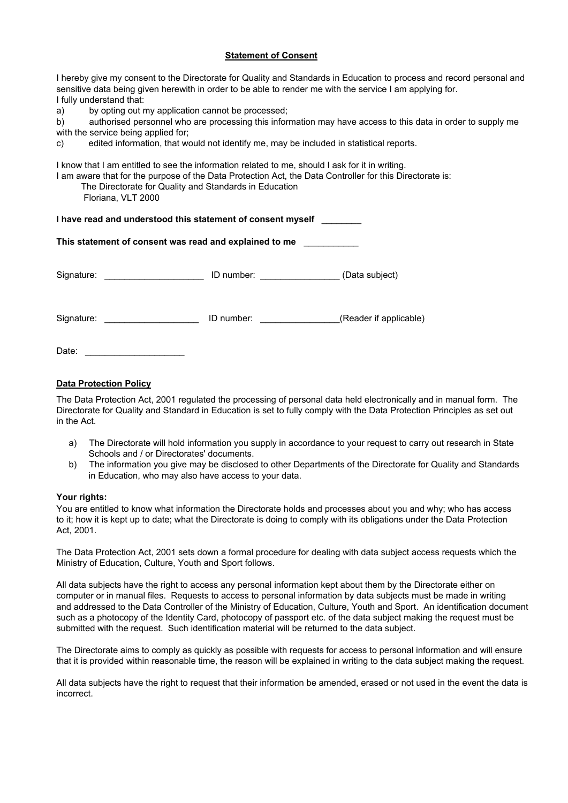### **Statement of Consent**

I hereby give my consent to the Directorate for Quality and Standards in Education to process and record personal and sensitive data being given herewith in order to be able to render me with the service I am applying for. I fully understand that:

a) by opting out my application cannot be processed;

b) authorised personnel who are processing this information may have access to this data in order to supply me with the service being applied for;

c) edited information, that would not identify me, may be included in statistical reports.

I know that I am entitled to see the information related to me, should I ask for it in writing.

I am aware that for the purpose of the Data Protection Act, the Data Controller for this Directorate is:

The Directorate for Quality and Standards in Education

Floriana, VLT 2000

| I have read and understood this statement of consent myself |  |
|-------------------------------------------------------------|--|
|-------------------------------------------------------------|--|

| This statement of consent was read and explained to me |
|--------------------------------------------------------|
|--------------------------------------------------------|

| Signature: | ID number: | (Data subject)         |
|------------|------------|------------------------|
| Signature: | ID number: | (Reader if applicable) |
| Date:      |            |                        |

## **Data Protection Policy**

The Data Protection Act, 2001 regulated the processing of personal data held electronically and in manual form. The Directorate for Quality and Standard in Education is set to fully comply with the Data Protection Principles as set out in the Act.

- a) The Directorate will hold information you supply in accordance to your request to carry out research in State Schools and / or Directorates' documents.
- b) The information you give may be disclosed to other Departments of the Directorate for Quality and Standards in Education, who may also have access to your data.

### **Your rights:**

You are entitled to know what information the Directorate holds and processes about you and why; who has access to it; how it is kept up to date; what the Directorate is doing to comply with its obligations under the Data Protection Act, 2001.

The Data Protection Act, 2001 sets down a formal procedure for dealing with data subject access requests which the Ministry of Education, Culture, Youth and Sport follows.

All data subjects have the right to access any personal information kept about them by the Directorate either on computer or in manual files. Requests to access to personal information by data subjects must be made in writing and addressed to the Data Controller of the Ministry of Education, Culture, Youth and Sport. An identification document such as a photocopy of the Identity Card, photocopy of passport etc. of the data subject making the request must be submitted with the request. Such identification material will be returned to the data subject.

The Directorate aims to comply as quickly as possible with requests for access to personal information and will ensure that it is provided within reasonable time, the reason will be explained in writing to the data subject making the request.

All data subjects have the right to request that their information be amended, erased or not used in the event the data is incorrect.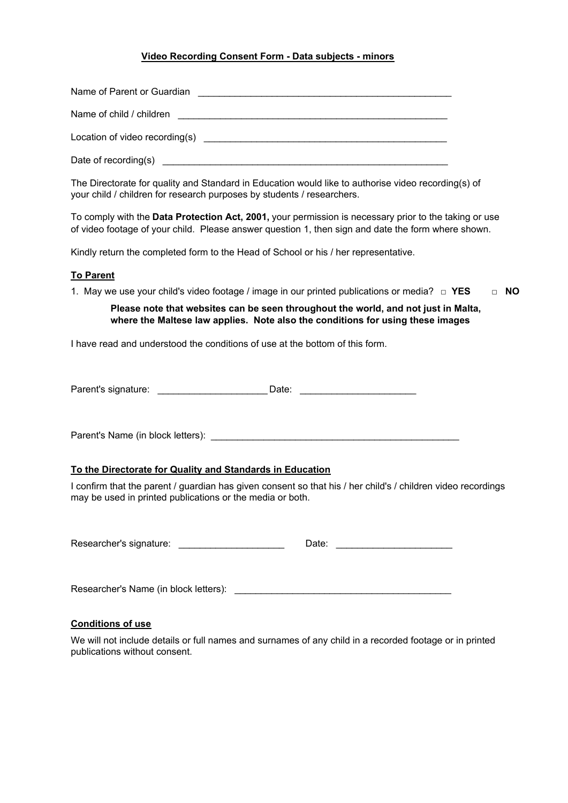# **Video Recording Consent Form - Data subjects - minors**

| The Directorate for quality and Standard in Education would like to authorise video recording(s) of<br>your child / children for research purposes by students / researchers.                               |
|-------------------------------------------------------------------------------------------------------------------------------------------------------------------------------------------------------------|
| To comply with the Data Protection Act, 2001, your permission is necessary prior to the taking or use<br>of video footage of your child. Please answer question 1, then sign and date the form where shown. |
| Kindly return the completed form to the Head of School or his / her representative.                                                                                                                         |
| <b>To Parent</b>                                                                                                                                                                                            |
| 1. May we use your child's video footage / image in our printed publications or media? $\Box$ YES<br>$\Box$ NO                                                                                              |
| Please note that websites can be seen throughout the world, and not just in Malta,<br>where the Maltese law applies. Note also the conditions for using these images                                        |
| I have read and understood the conditions of use at the bottom of this form.                                                                                                                                |
|                                                                                                                                                                                                             |
|                                                                                                                                                                                                             |
|                                                                                                                                                                                                             |
|                                                                                                                                                                                                             |
|                                                                                                                                                                                                             |
| To the Directorate for Quality and Standards in Education                                                                                                                                                   |
| I confirm that the parent / guardian has given consent so that his / her child's / children video recordings<br>may be used in printed publications or the media or both.                                   |
|                                                                                                                                                                                                             |
|                                                                                                                                                                                                             |
|                                                                                                                                                                                                             |
| <b>Conditions of use</b>                                                                                                                                                                                    |
| We will not include details or full names and surnames of any child in a recorded footage or in printed<br>publications without consent.                                                                    |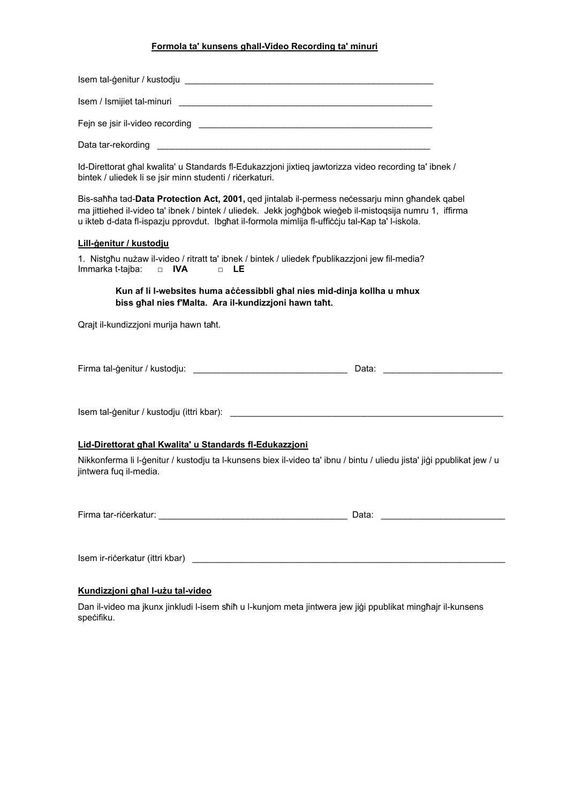## **Formola ta' kunsens għall-Video Recording ta' minuri**

| Isem / Ismijiet tal-minuri and a state of the state of the state of the state of the state of the state of the                                                                                                                                                                                               |
|--------------------------------------------------------------------------------------------------------------------------------------------------------------------------------------------------------------------------------------------------------------------------------------------------------------|
|                                                                                                                                                                                                                                                                                                              |
|                                                                                                                                                                                                                                                                                                              |
| Id-Direttorat għal kwalita' u Standards fl-Edukazzjoni jixtieq jawtorizza video recording ta' ibnek /<br>bintek / uliedek li se jsir minn studenti / ričerkaturi.                                                                                                                                            |
| Bis-sañña tad-Data Protection Act, 2001, ged jintalab il-permess necessarju minn gñandek qabel<br>ma jittiehed il-video ta' ibnek / bintek / uliedek. Jekk jogħġbok wieġeb il-mistoqsija numru 1, iffirma<br>u ikteb d-data fl-ispazju pprovdut. Ibgħat il-formola mimlija fl-ufficcju tal-Kap ta' l-iskola. |
| Lill-genitur / kustodju                                                                                                                                                                                                                                                                                      |
| 1. Nistgħu nużaw il-video / ritratt ta' ibnek / bintek / uliedek fpublikazzjoni jew fil-media?<br>Immarka t-tajba:<br>$\Box$ IVA<br>$\Box$ LE                                                                                                                                                                |
| Kun af li I-websites huma accessibbli ghal nies mid-dinja kollha u mhux<br>biss ghal nies f'Malta. Ara il-kundizzjoni hawn taht.                                                                                                                                                                             |
| Qrajt il-kundizzjoni murija hawn taht.                                                                                                                                                                                                                                                                       |
| Data: ___________________                                                                                                                                                                                                                                                                                    |
|                                                                                                                                                                                                                                                                                                              |
| Lid-Direttorat ghal Kwalita' u Standards fl-Edukazzjoni                                                                                                                                                                                                                                                      |
| Nikkonferma li l-ģenitur / kustodju ta l-kunsens biex il-video ta' ibnu / bintu / uliedu jista' jiģi ppublikat jew / u<br>jintwera fuq il-media.                                                                                                                                                             |
|                                                                                                                                                                                                                                                                                                              |
|                                                                                                                                                                                                                                                                                                              |
| Kundizzjoni ghal I-użu tal-video                                                                                                                                                                                                                                                                             |

Dan il-video ma jkunx jinkludi l-isem sħiħ u l-kunjom meta jintwera jew jiġi ppublikat mingħajr il-kunsens speċifiku.